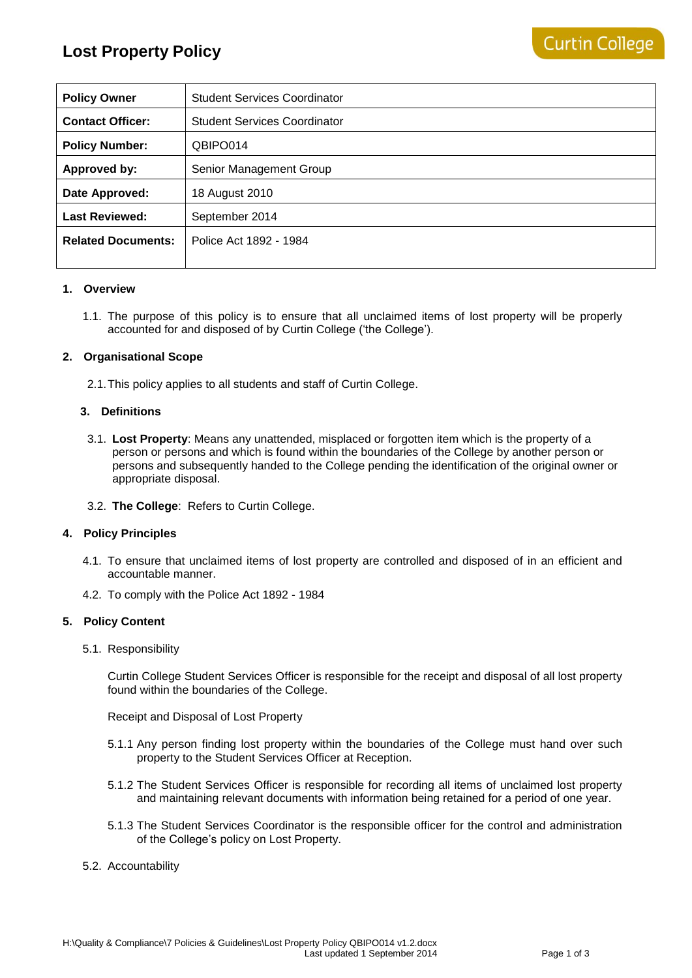| <b>Policy Owner</b>       | <b>Student Services Coordinator</b> |
|---------------------------|-------------------------------------|
| <b>Contact Officer:</b>   | <b>Student Services Coordinator</b> |
| <b>Policy Number:</b>     | QBIPO014                            |
| Approved by:              | Senior Management Group             |
| Date Approved:            | 18 August 2010                      |
| <b>Last Reviewed:</b>     | September 2014                      |
| <b>Related Documents:</b> | Police Act 1892 - 1984              |
|                           |                                     |

## **1. Overview**

1.1. The purpose of this policy is to ensure that all unclaimed items of lost property will be properly accounted for and disposed of by Curtin College ('the College').

### **2. Organisational Scope**

2.1.This policy applies to all students and staff of Curtin College.

### **3. Definitions**

- 3.1. **Lost Property**: Means any unattended, misplaced or forgotten item which is the property of a person or persons and which is found within the boundaries of the College by another person or persons and subsequently handed to the College pending the identification of the original owner or appropriate disposal.
- 3.2. **The College**: Refers to Curtin College.

#### **4. Policy Principles**

- 4.1. To ensure that unclaimed items of lost property are controlled and disposed of in an efficient and accountable manner.
- 4.2. To comply with the Police Act 1892 1984

## **5. Policy Content**

5.1. Responsibility

Curtin College Student Services Officer is responsible for the receipt and disposal of all lost property found within the boundaries of the College.

Receipt and Disposal of Lost Property

- 5.1.1 Any person finding lost property within the boundaries of the College must hand over such property to the Student Services Officer at Reception.
- 5.1.2 The Student Services Officer is responsible for recording all items of unclaimed lost property and maintaining relevant documents with information being retained for a period of one year.
- 5.1.3 The Student Services Coordinator is the responsible officer for the control and administration of the College's policy on Lost Property.

#### 5.2. Accountability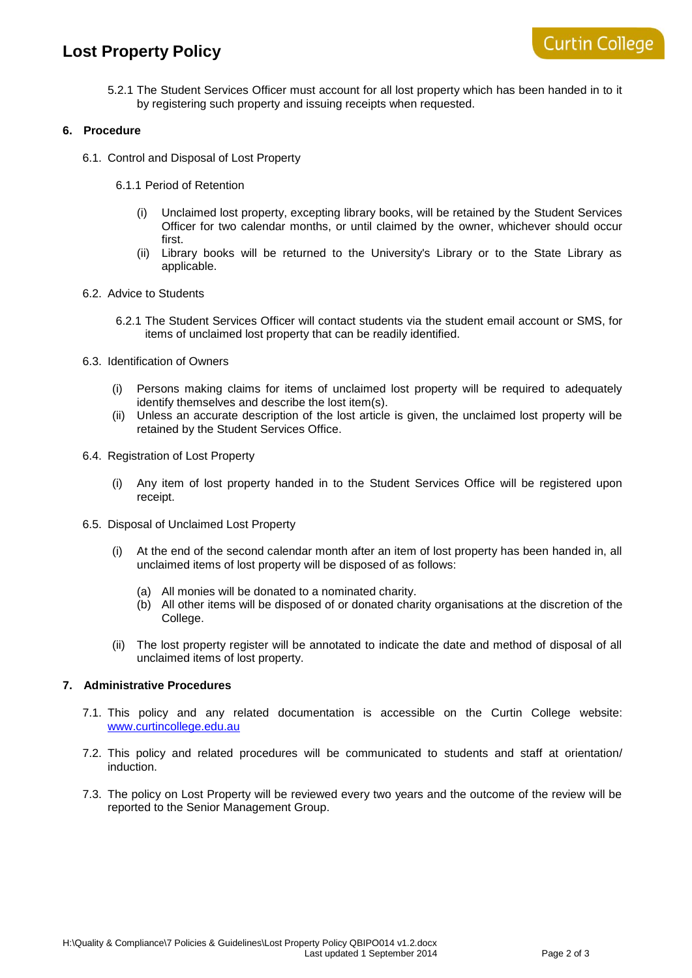# **Lost Property Policy**

5.2.1 The Student Services Officer must account for all lost property which has been handed in to it by registering such property and issuing receipts when requested.

# **6. Procedure**

- 6.1. Control and Disposal of Lost Property
	- 6.1.1 Period of Retention
		- (i) Unclaimed lost property, excepting library books, will be retained by the Student Services Officer for two calendar months, or until claimed by the owner, whichever should occur first.
		- (ii) Library books will be returned to the University's Library or to the State Library as applicable.
- 6.2. Advice to Students
	- 6.2.1 The Student Services Officer will contact students via the student email account or SMS, for items of unclaimed lost property that can be readily identified.
- 6.3. Identification of Owners
	- (i) Persons making claims for items of unclaimed lost property will be required to adequately identify themselves and describe the lost item(s).
	- (ii) Unless an accurate description of the lost article is given, the unclaimed lost property will be retained by the Student Services Office.
- 6.4. Registration of Lost Property
	- (i) Any item of lost property handed in to the Student Services Office will be registered upon receipt.
- 6.5. Disposal of Unclaimed Lost Property
	- (i) At the end of the second calendar month after an item of lost property has been handed in, all unclaimed items of lost property will be disposed of as follows:
		- (a) All monies will be donated to a nominated charity.
		- (b) All other items will be disposed of or donated charity organisations at the discretion of the College.
	- (ii) The lost property register will be annotated to indicate the date and method of disposal of all unclaimed items of lost property.

# **7. Administrative Procedures**

- 7.1. This policy and any related documentation is accessible on the Curtin College website: [www.curtincollege.edu.au](http://www.curtincollege.edu.au/)
- 7.2. This policy and related procedures will be communicated to students and staff at orientation/ induction.
- 7.3. The policy on Lost Property will be reviewed every two years and the outcome of the review will be reported to the Senior Management Group.